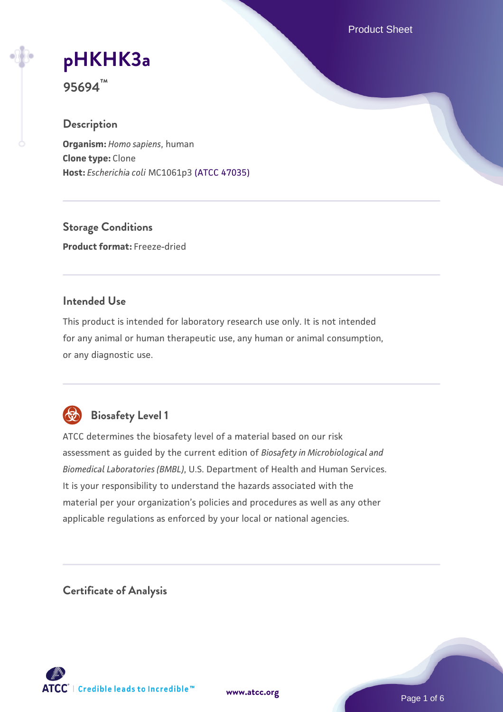Product Sheet

# **[pHKHK3a](https://www.atcc.org/products/95694)**

**95694™**

## **Description**

**Organism:** *Homo sapiens*, human **Clone type:** Clone **Host:** *Escherichia coli* MC1061p3 [\(ATCC 47035\)](https://www.atcc.org/products/47035)

**Storage Conditions Product format:** Freeze-dried

### **Intended Use**

This product is intended for laboratory research use only. It is not intended for any animal or human therapeutic use, any human or animal consumption, or any diagnostic use.



# **Biosafety Level 1**

ATCC determines the biosafety level of a material based on our risk assessment as guided by the current edition of *Biosafety in Microbiological and Biomedical Laboratories (BMBL)*, U.S. Department of Health and Human Services. It is your responsibility to understand the hazards associated with the material per your organization's policies and procedures as well as any other applicable regulations as enforced by your local or national agencies.

**Certificate of Analysis**

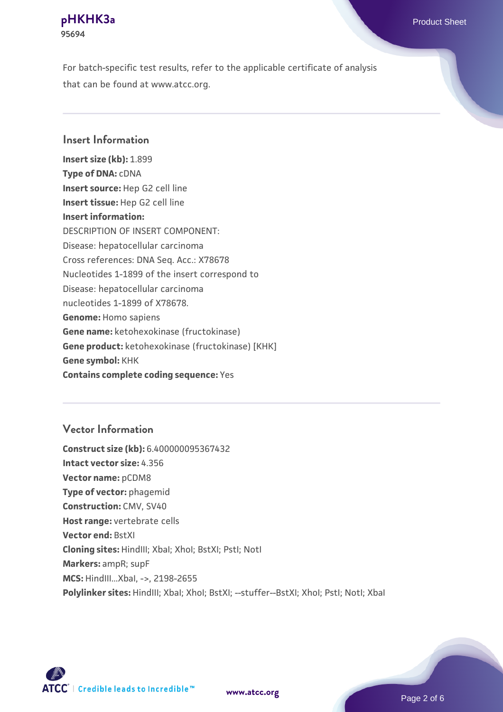For batch-specific test results, refer to the applicable certificate of analysis that can be found at www.atcc.org.

#### **Insert Information**

**Insert size (kb):** 1.899 **Type of DNA:** cDNA **Insert source:** Hep G2 cell line **Insert tissue:** Hep G2 cell line **Insert information:** DESCRIPTION OF INSERT COMPONENT: Disease: hepatocellular carcinoma Cross references: DNA Seq. Acc.: X78678 Nucleotides 1-1899 of the insert correspond to Disease: hepatocellular carcinoma nucleotides 1-1899 of X78678. **Genome:** Homo sapiens **Gene name:** ketohexokinase (fructokinase) **Gene product:** ketohexokinase (fructokinase) [KHK] **Gene symbol:** KHK **Contains complete coding sequence:** Yes

### **Vector Information**

**Construct size (kb):** 6.400000095367432 **Intact vector size:** 4.356 **Vector name:** pCDM8 **Type of vector:** phagemid **Construction:** CMV, SV40 **Host range:** vertebrate cells **Vector end:** BstXI **Cloning sites:** HindIII; XbaI; XhoI; BstXI; PstI; NotI **Markers:** ampR; supF **MCS:** HindIII...XbaI, ->, 2198-2655 Polylinker sites: HindIII; XbaI; XhoI; BstXI; --stuffer--BstXI; XhoI; PstI; NotI; XbaI



**[www.atcc.org](http://www.atcc.org)**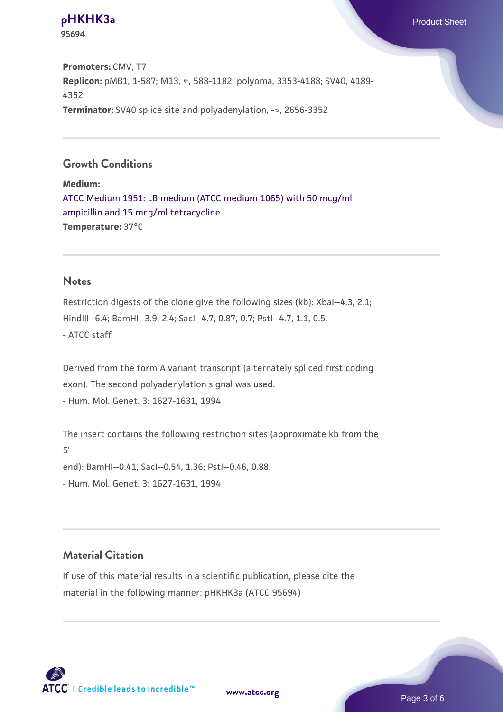**Promoters:** CMV; T7 **Replicon:** pMB1, 1-587; M13, ←, 588-1182; polyoma, 3353-4188; SV40, 4189- 4352 **Terminator:** SV40 splice site and polyadenylation, ->, 2656-3352

## **Growth Conditions**

**Medium:**  [ATCC Medium 1951: LB medium \(ATCC medium 1065\) with 50 mcg/ml](https://www.atcc.org/-/media/product-assets/documents/microbial-media-formulations/atcc-medium-1951.pdf?rev=7cc3325daa4444c495b3c39579d3e831) [ampicillin and 15 mcg/ml tetracycline](https://www.atcc.org/-/media/product-assets/documents/microbial-media-formulations/atcc-medium-1951.pdf?rev=7cc3325daa4444c495b3c39579d3e831) **Temperature:** 37°C

#### **Notes**

**95694**

Restriction digests of the clone give the following sizes (kb): XbaI--4.3, 2.1; HindIII--6.4; BamHI--3.9, 2.4; SacI--4.7, 0.87, 0.7; PstI--4.7, 1.1, 0.5. - ATCC staff

Derived from the form A variant transcript (alternately spliced first coding exon). The second polyadenylation signal was used. - Hum. Mol. Genet. 3: 1627-1631, 1994

The insert contains the following restriction sites (approximate kb from the 5' end): BamHI--0.41, SacI--0.54, 1.36; PstI--0.46, 0.88. - Hum. Mol. Genet. 3: 1627-1631, 1994

#### **Material Citation**

If use of this material results in a scientific publication, please cite the material in the following manner: pHKHK3a (ATCC 95694)

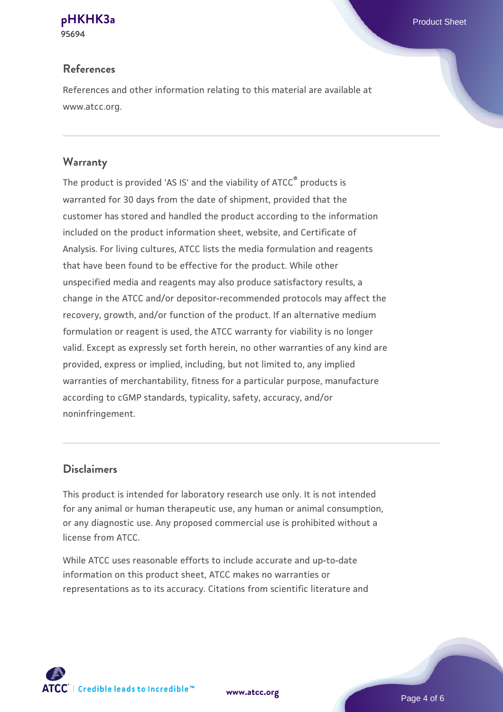# **References**

References and other information relating to this material are available at www.atcc.org.

# **Warranty**

The product is provided 'AS IS' and the viability of ATCC® products is warranted for 30 days from the date of shipment, provided that the customer has stored and handled the product according to the information included on the product information sheet, website, and Certificate of Analysis. For living cultures, ATCC lists the media formulation and reagents that have been found to be effective for the product. While other unspecified media and reagents may also produce satisfactory results, a change in the ATCC and/or depositor-recommended protocols may affect the recovery, growth, and/or function of the product. If an alternative medium formulation or reagent is used, the ATCC warranty for viability is no longer valid. Except as expressly set forth herein, no other warranties of any kind are provided, express or implied, including, but not limited to, any implied warranties of merchantability, fitness for a particular purpose, manufacture according to cGMP standards, typicality, safety, accuracy, and/or noninfringement.

## **Disclaimers**

This product is intended for laboratory research use only. It is not intended for any animal or human therapeutic use, any human or animal consumption, or any diagnostic use. Any proposed commercial use is prohibited without a license from ATCC.

While ATCC uses reasonable efforts to include accurate and up-to-date information on this product sheet, ATCC makes no warranties or representations as to its accuracy. Citations from scientific literature and



**[www.atcc.org](http://www.atcc.org)**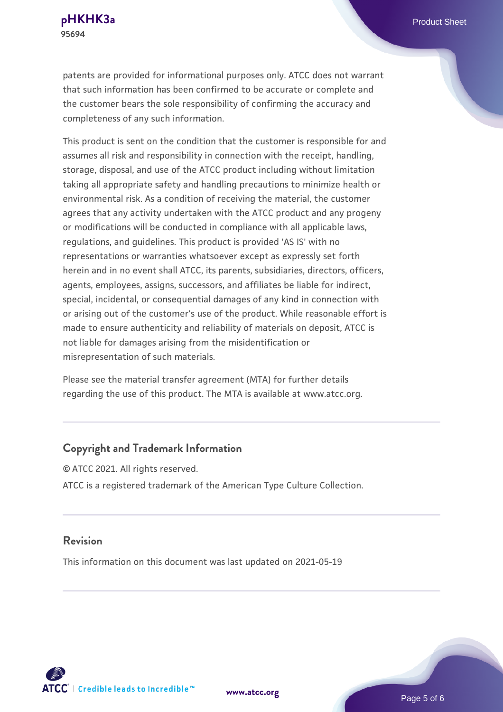patents are provided for informational purposes only. ATCC does not warrant that such information has been confirmed to be accurate or complete and the customer bears the sole responsibility of confirming the accuracy and completeness of any such information.

This product is sent on the condition that the customer is responsible for and assumes all risk and responsibility in connection with the receipt, handling, storage, disposal, and use of the ATCC product including without limitation taking all appropriate safety and handling precautions to minimize health or environmental risk. As a condition of receiving the material, the customer agrees that any activity undertaken with the ATCC product and any progeny or modifications will be conducted in compliance with all applicable laws, regulations, and guidelines. This product is provided 'AS IS' with no representations or warranties whatsoever except as expressly set forth herein and in no event shall ATCC, its parents, subsidiaries, directors, officers, agents, employees, assigns, successors, and affiliates be liable for indirect, special, incidental, or consequential damages of any kind in connection with or arising out of the customer's use of the product. While reasonable effort is made to ensure authenticity and reliability of materials on deposit, ATCC is not liable for damages arising from the misidentification or misrepresentation of such materials.

Please see the material transfer agreement (MTA) for further details regarding the use of this product. The MTA is available at www.atcc.org.

### **Copyright and Trademark Information**

© ATCC 2021. All rights reserved. ATCC is a registered trademark of the American Type Culture Collection.

#### **Revision**

This information on this document was last updated on 2021-05-19